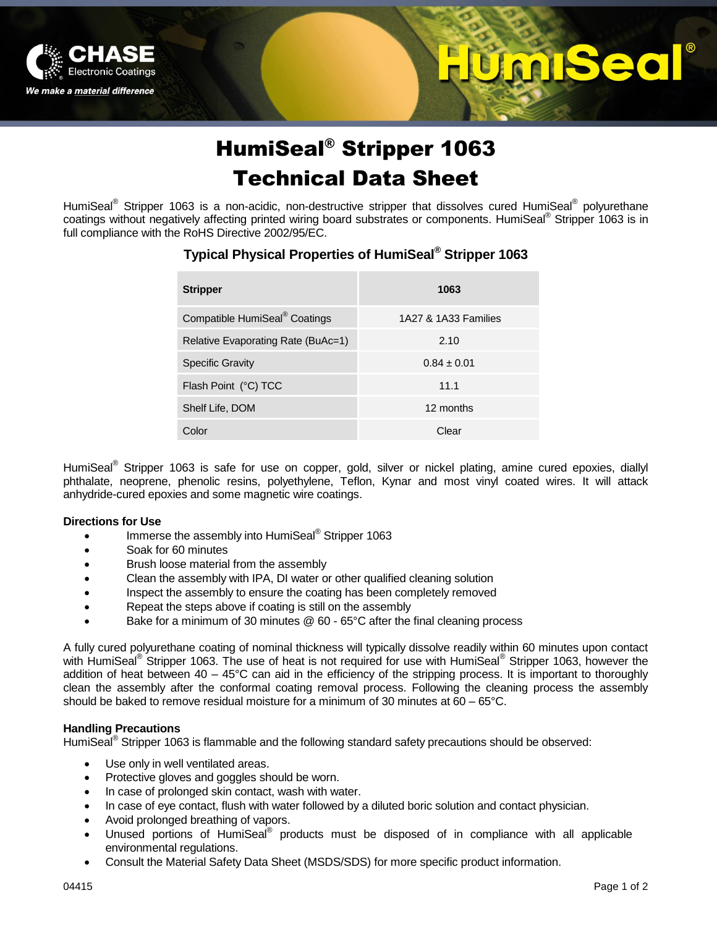

# HumiSeal® Stripper 1063 Technical Data Sheet

UIOOI

520

HumiSeal® Stripper 1063 is a non-acidic, non-destructive stripper that dissolves cured HumiSeal® polyurethane coatings without negatively affecting printed wiring board substrates or components. HumiSeal® Stripper 1063 is in full compliance with the RoHS Directive 2002/95/EC.

### **Typical Physical Properties of HumiSeal® Stripper 1063**

| <b>Stripper</b>                           | 1063                 |
|-------------------------------------------|----------------------|
| Compatible HumiSeal <sup>®</sup> Coatings | 1A27 & 1A33 Families |
| Relative Evaporating Rate (BuAc=1)        | 2.10                 |
| <b>Specific Gravity</b>                   | $0.84 \pm 0.01$      |
| Flash Point (°C) TCC                      | 11.1                 |
| Shelf Life, DOM                           | 12 months            |
| Color                                     | Clear                |

HumiSeal<sup>®</sup> Stripper 1063 is safe for use on copper, gold, silver or nickel plating, amine cured epoxies, diallyl phthalate, neoprene, phenolic resins, polyethylene, Teflon, Kynar and most vinyl coated wires. It will attack anhydride-cured epoxies and some magnetic wire coatings.

#### **Directions for Use**

- Immerse the assembly into HumiSeal<sup>®</sup> Stripper 1063
- Soak for 60 minutes
- Brush loose material from the assembly
- Clean the assembly with IPA, DI water or other qualified cleaning solution
- Inspect the assembly to ensure the coating has been completely removed
- Repeat the steps above if coating is still on the assembly
- Bake for a minimum of 30 minutes @ 60 65°C after the final cleaning process

A fully cured polyurethane coating of nominal thickness will typically dissolve readily within 60 minutes upon contact with HumiSeal® Stripper 1063. The use of heat is not required for use with HumiSeal® Stripper 1063, however the addition of heat between  $40 - 45^{\circ}$ C can aid in the efficiency of the stripping process. It is important to thoroughly clean the assembly after the conformal coating removal process. Following the cleaning process the assembly should be baked to remove residual moisture for a minimum of 30 minutes at 60 – 65°C.

#### **Handling Precautions**

HumiSeal<sup>®</sup> Stripper 1063 is flammable and the following standard safety precautions should be observed:

- Use only in well ventilated areas.
- Protective gloves and goggles should be worn.
- In case of prolonged skin contact, wash with water.
- In case of eye contact, flush with water followed by a diluted boric solution and contact physician.
- Avoid prolonged breathing of vapors.
- Unused portions of HumiSeal® products must be disposed of in compliance with all applicable environmental regulations.
- Consult the Material Safety Data Sheet (MSDS/SDS) for more specific product information.